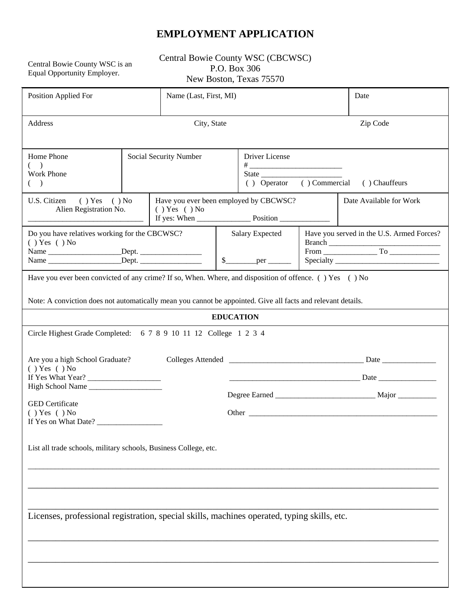### **EMPLOYMENT APPLICATION**

Central Bowie County WSC is an<br>Equal Opportunity Employer.

Central Bowie County WSC (CBCWSC) P.O. Box 306 New Boston, Texas 75570

| Position Applied For                                                                                                                                                                                                    |              | Name (Last, First, MI)                                                                                           |                                               |                                                               |                         | Date                                      |  |  |
|-------------------------------------------------------------------------------------------------------------------------------------------------------------------------------------------------------------------------|--------------|------------------------------------------------------------------------------------------------------------------|-----------------------------------------------|---------------------------------------------------------------|-------------------------|-------------------------------------------|--|--|
| Address                                                                                                                                                                                                                 |              |                                                                                                                  | City, State<br>Zip Code                       |                                                               |                         |                                           |  |  |
| Home Phone<br>$($ )<br>Work Phone<br>$($ )                                                                                                                                                                              |              | Social Security Number                                                                                           |                                               | Driver License<br>() Commercial () Chauffeurs<br>( ) Operator |                         |                                           |  |  |
| U.S. Citizen<br>$( )$ Yes $( )$ No<br>Alien Registration No.                                                                                                                                                            | () Yes () No | Have you ever been employed by CBCWSC?<br>If yes: When $\_\_\_\_\_\_\$ Position $\_\_\_\_\_\_\_\_\_\_\_\_\_\_\_$ |                                               |                                                               | Date Available for Work |                                           |  |  |
| Do you have relatives working for the CBCWSC?<br>$( )$ Yes $( )$ No                                                                                                                                                     |              |                                                                                                                  | <b>Salary Expected</b><br>$\mathbb{S}$<br>per |                                                               |                         | Have you served in the U.S. Armed Forces? |  |  |
| Have you ever been convicted of any crime? If so, When. Where, and disposition of offence. () Yes () No<br>Note: A conviction does not automatically mean you cannot be appointed. Give all facts and relevant details. |              |                                                                                                                  |                                               |                                                               |                         |                                           |  |  |
| <b>EDUCATION</b>                                                                                                                                                                                                        |              |                                                                                                                  |                                               |                                                               |                         |                                           |  |  |
| Circle Highest Grade Completed: 6 7 8 9 10 11 12 College 1 2 3 4                                                                                                                                                        |              |                                                                                                                  |                                               |                                                               |                         |                                           |  |  |
| Are you a high School Graduate?<br>$( )$ Yes $( )$ No                                                                                                                                                                   |              |                                                                                                                  |                                               |                                                               |                         |                                           |  |  |
| If Yes What Year?<br>High School Name                                                                                                                                                                                   |              |                                                                                                                  |                                               |                                                               |                         |                                           |  |  |
| <b>GED</b> Certificate<br>$( )$ Yes $( )$ No                                                                                                                                                                            |              |                                                                                                                  |                                               |                                                               |                         |                                           |  |  |
| List all trade schools, military schools, Business College, etc.                                                                                                                                                        |              |                                                                                                                  |                                               |                                                               |                         |                                           |  |  |
|                                                                                                                                                                                                                         |              |                                                                                                                  |                                               |                                                               |                         |                                           |  |  |
| Licenses, professional registration, special skills, machines operated, typing skills, etc.                                                                                                                             |              |                                                                                                                  |                                               |                                                               |                         |                                           |  |  |
|                                                                                                                                                                                                                         |              |                                                                                                                  |                                               |                                                               |                         |                                           |  |  |
|                                                                                                                                                                                                                         |              |                                                                                                                  |                                               |                                                               |                         |                                           |  |  |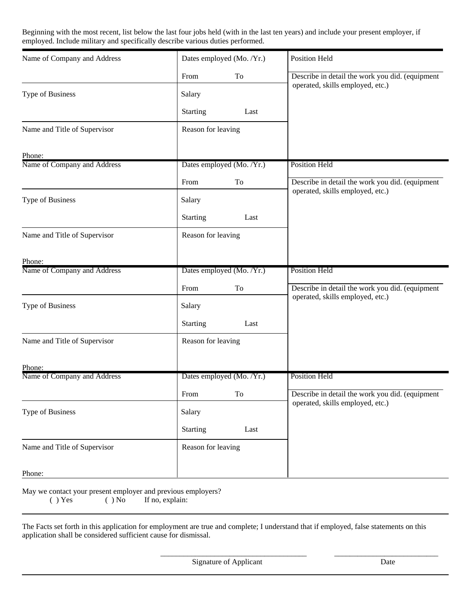Beginning with the most recent, list below the last four jobs held (with in the last ten years) and include your present employer, if employed. Include military and specifically describe various duties performed.

| Name of Company and Address  | Dates employed (Mo. /Yr.) | Position Held                                                                       |  |  |
|------------------------------|---------------------------|-------------------------------------------------------------------------------------|--|--|
|                              | From<br>To                | Describe in detail the work you did. (equipment                                     |  |  |
| Type of Business             | Salary                    | operated, skills employed, etc.)                                                    |  |  |
|                              | <b>Starting</b><br>Last   |                                                                                     |  |  |
| Name and Title of Supervisor | Reason for leaving        |                                                                                     |  |  |
| Phone:                       |                           |                                                                                     |  |  |
| Name of Company and Address  | Dates employed (Mo. /Yr.) | <b>Position Held</b>                                                                |  |  |
|                              | To<br>From                | Describe in detail the work you did. (equipment<br>operated, skills employed, etc.) |  |  |
| Type of Business             | Salary                    |                                                                                     |  |  |
|                              | <b>Starting</b><br>Last   |                                                                                     |  |  |
| Name and Title of Supervisor | Reason for leaving        |                                                                                     |  |  |
| Phone:                       |                           |                                                                                     |  |  |
| Name of Company and Address  | Dates employed (Mo. /Yr.) | <b>Position Held</b>                                                                |  |  |
|                              | To<br>From                | Describe in detail the work you did. (equipment                                     |  |  |
| Type of Business             | Salary                    | operated, skills employed, etc.)                                                    |  |  |
|                              | <b>Starting</b><br>Last   |                                                                                     |  |  |
| Name and Title of Supervisor | Reason for leaving        |                                                                                     |  |  |
| Phone:                       |                           |                                                                                     |  |  |
| Name of Company and Address  | Dates employed (Mo. /Yr.) | <b>Position Held</b>                                                                |  |  |
|                              | From<br>To                | Describe in detail the work you did. (equipment                                     |  |  |
| Type of Business             | Salary                    | operated, skills employed, etc.)                                                    |  |  |
|                              | <b>Starting</b><br>Last   |                                                                                     |  |  |
| Name and Title of Supervisor | Reason for leaving        |                                                                                     |  |  |
| Phone:                       |                           |                                                                                     |  |  |

May we contact your present employer and previous employers?

( ) Yes ( ) No If no, explain:

The Facts set forth in this application for employment are true and complete; I understand that if employed, false statements on this application shall be considered sufficient cause for dismissal.

 \_\_\_\_\_\_\_\_\_\_\_\_\_\_\_\_\_\_\_\_\_\_\_\_\_\_\_\_\_\_\_\_\_\_\_\_\_\_ \_\_\_\_\_\_\_\_\_\_\_\_\_\_\_\_\_\_\_\_\_\_\_\_\_\_\_ Signature of Applicant Date